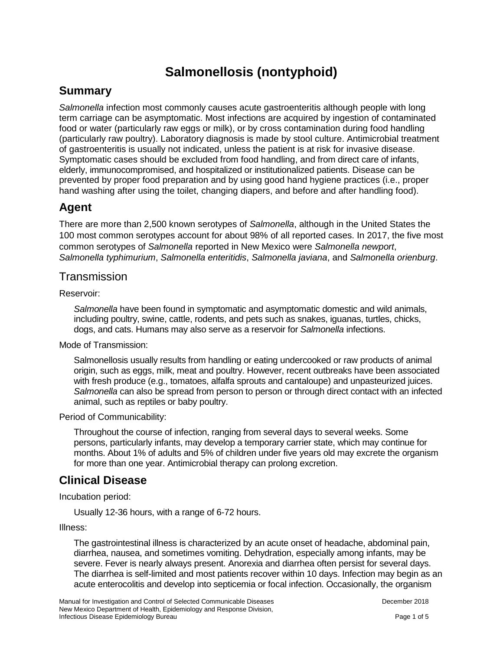# **Salmonellosis (nontyphoid)**

## **Summary**

*Salmonella* infection most commonly causes acute gastroenteritis although people with long term carriage can be asymptomatic. Most infections are acquired by ingestion of contaminated food or water (particularly raw eggs or milk), or by cross contamination during food handling (particularly raw poultry). Laboratory diagnosis is made by stool culture. Antimicrobial treatment of gastroenteritis is usually not indicated, unless the patient is at risk for invasive disease. Symptomatic cases should be excluded from food handling, and from direct care of infants, elderly, immunocompromised, and hospitalized or institutionalized patients. Disease can be prevented by proper food preparation and by using good hand hygiene practices (i.e., proper hand washing after using the toilet, changing diapers, and before and after handling food).

## **Agent**

There are more than 2,500 known serotypes of *Salmonella*, although in the United States the 100 most common serotypes account for about 98% of all reported cases. In 2017, the five most common serotypes of *Salmonella* reported in New Mexico were *Salmonella newport*, *Salmonella typhimurium*, *Salmonella enteritidis*, *Salmonella javiana*, and *Salmonella orienburg*.

#### **Transmission**

Reservoir:

*Salmonella* have been found in symptomatic and asymptomatic domestic and wild animals, including poultry, swine, cattle, rodents, and pets such as snakes, iguanas, turtles, chicks, dogs, and cats. Humans may also serve as a reservoir for *Salmonella* infections.

Mode of Transmission:

Salmonellosis usually results from handling or eating undercooked or raw products of animal origin, such as eggs, milk, meat and poultry. However, recent outbreaks have been associated with fresh produce (e.g., tomatoes, alfalfa sprouts and cantaloupe) and unpasteurized juices. *Salmonella* can also be spread from person to person or through direct contact with an infected animal, such as reptiles or baby poultry.

Period of Communicability:

Throughout the course of infection, ranging from several days to several weeks. Some persons, particularly infants, may develop a temporary carrier state, which may continue for months. About 1% of adults and 5% of children under five years old may excrete the organism for more than one year. Antimicrobial therapy can prolong excretion.

## **Clinical Disease**

Incubation period:

Usually 12-36 hours, with a range of 6-72 hours.

Illness:

The gastrointestinal illness is characterized by an acute onset of headache, abdominal pain, diarrhea, nausea, and sometimes vomiting. Dehydration, especially among infants, may be severe. Fever is nearly always present. Anorexia and diarrhea often persist for several days. The diarrhea is self-limited and most patients recover within 10 days. Infection may begin as an acute enterocolitis and develop into septicemia or focal infection. Occasionally, the organism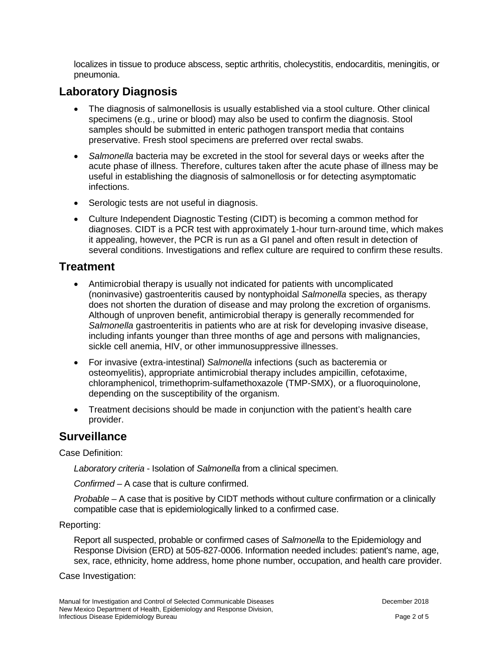localizes in tissue to produce abscess, septic arthritis, cholecystitis, endocarditis, meningitis, or pneumonia.

## **Laboratory Diagnosis**

- The diagnosis of salmonellosis is usually established via a stool culture. Other clinical specimens (e.g., urine or blood) may also be used to confirm the diagnosis. Stool samples should be submitted in enteric pathogen transport media that contains preservative. Fresh stool specimens are preferred over rectal swabs.
- *Salmonella* bacteria may be excreted in the stool for several days or weeks after the acute phase of illness. Therefore, cultures taken after the acute phase of illness may be useful in establishing the diagnosis of salmonellosis or for detecting asymptomatic infections.
- Serologic tests are not useful in diagnosis.
- Culture Independent Diagnostic Testing (CIDT) is becoming a common method for diagnoses. CIDT is a PCR test with approximately 1-hour turn-around time, which makes it appealing, however, the PCR is run as a GI panel and often result in detection of several conditions. Investigations and reflex culture are required to confirm these results.

#### **Treatment**

- Antimicrobial therapy is usually not indicated for patients with uncomplicated (noninvasive) gastroenteritis caused by nontyphoidal *Salmonella* species, as therapy does not shorten the duration of disease and may prolong the excretion of organisms. Although of unproven benefit, antimicrobial therapy is generally recommended for *Salmonella* gastroenteritis in patients who are at risk for developing invasive disease, including infants younger than three months of age and persons with malignancies, sickle cell anemia, HIV, or other immunosuppressive illnesses.
- For invasive (extra-intestinal) *Salmonella* infections (such as bacteremia or osteomyelitis), appropriate antimicrobial therapy includes ampicillin, cefotaxime, chloramphenicol, trimethoprim-sulfamethoxazole (TMP-SMX), or a fluoroquinolone, depending on the susceptibility of the organism.
- Treatment decisions should be made in conjunction with the patient's health care provider.

### **Surveillance**

Case Definition:

*Laboratory criteria* - Isolation of *Salmonella* from a clinical specimen.

*Confirmed* – A case that is culture confirmed.

*Probable* – A case that is positive by CIDT methods without culture confirmation or a clinically compatible case that is epidemiologically linked to a confirmed case.

Reporting:

Report all suspected, probable or confirmed cases of *Salmonella* to the Epidemiology and Response Division (ERD) at 505-827-0006. Information needed includes: patient's name, age, sex, race, ethnicity, home address, home phone number, occupation, and health care provider.

Case Investigation: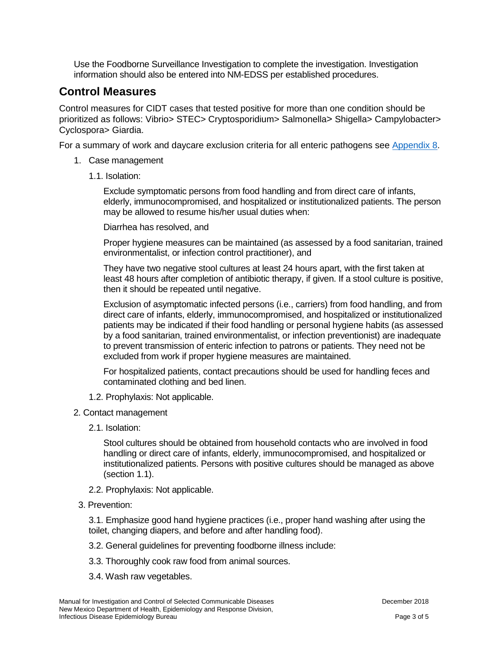Use the Foodborne Surveillance Investigation to complete the investigation. Investigation information should also be entered into NM-EDSS per established procedures.

## **Control Measures**

Control measures for CIDT cases that tested positive for more than one condition should be prioritized as follows: Vibrio> STEC> Cryptosporidium> Salmonella> Shigella> Campylobacter> Cyclospora> Giardia.

For a summary of work and daycare exclusion criteria for all enteric pathogens see [Appendix 8.](https://nmhealth.org/publication/view/general/5156/)

- 1. Case management
	- 1.1. Isolation:

Exclude symptomatic persons from food handling and from direct care of infants, elderly, immunocompromised, and hospitalized or institutionalized patients. The person may be allowed to resume his/her usual duties when:

Diarrhea has resolved, and

Proper hygiene measures can be maintained (as assessed by a food sanitarian, trained environmentalist, or infection control practitioner), and

They have two negative stool cultures at least 24 hours apart, with the first taken at least 48 hours after completion of antibiotic therapy, if given. If a stool culture is positive, then it should be repeated until negative.

Exclusion of asymptomatic infected persons (i.e., carriers) from food handling, and from direct care of infants, elderly, immunocompromised, and hospitalized or institutionalized patients may be indicated if their food handling or personal hygiene habits (as assessed by a food sanitarian, trained environmentalist, or infection preventionist) are inadequate to prevent transmission of enteric infection to patrons or patients. They need not be excluded from work if proper hygiene measures are maintained.

For hospitalized patients, contact precautions should be used for handling feces and contaminated clothing and bed linen.

- 1.2. Prophylaxis: Not applicable.
- 2. Contact management
	- 2.1. Isolation:

Stool cultures should be obtained from household contacts who are involved in food handling or direct care of infants, elderly, immunocompromised, and hospitalized or institutionalized patients. Persons with positive cultures should be managed as above (section 1.1).

- 2.2. Prophylaxis: Not applicable.
- 3. Prevention:

3.1. Emphasize good hand hygiene practices (i.e., proper hand washing after using the toilet, changing diapers, and before and after handling food).

- 3.2. General guidelines for preventing foodborne illness include:
- 3.3. Thoroughly cook raw food from animal sources.
- 3.4. Wash raw vegetables.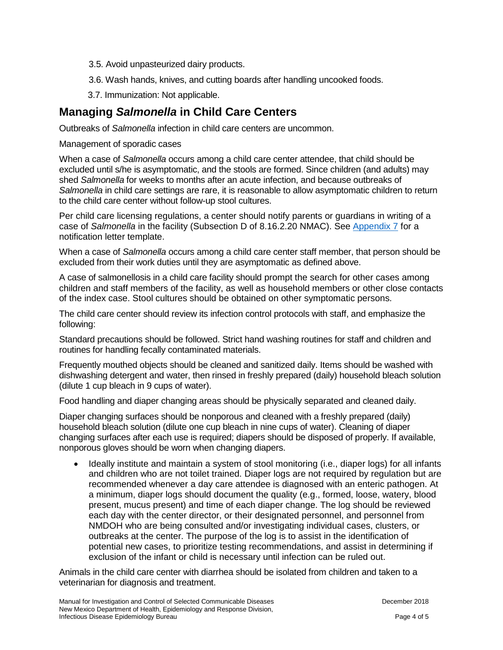- 3.5. Avoid unpasteurized dairy products.
- 3.6. Wash hands, knives, and cutting boards after handling uncooked foods.
- 3.7. Immunization: Not applicable.

## **Managing** *Salmonella* **in Child Care Centers**

Outbreaks of *Salmonella* infection in child care centers are uncommon.

#### Management of sporadic cases

When a case of *Salmonella* occurs among a child care center attendee, that child should be excluded until s/he is asymptomatic, and the stools are formed. Since children (and adults) may shed *Salmonella* for weeks to months after an acute infection, and because outbreaks of *Salmonella* in child care settings are rare, it is reasonable to allow asymptomatic children to return to the child care center without follow-up stool cultures.

Per child care licensing regulations, a center should notify parents or guardians in writing of a case of *Salmonella* in the facility (Subsection D of 8.16.2.20 NMAC). See [Appendix 7](https://nmhealth.org/publication/view/general/5155/) for a notification letter template.

When a case of *Salmonella* occurs among a child care center staff member, that person should be excluded from their work duties until they are asymptomatic as defined above.

A case of salmonellosis in a child care facility should prompt the search for other cases among children and staff members of the facility, as well as household members or other close contacts of the index case. Stool cultures should be obtained on other symptomatic persons.

The child care center should review its infection control protocols with staff, and emphasize the following:

Standard precautions should be followed. Strict hand washing routines for staff and children and routines for handling fecally contaminated materials.

Frequently mouthed objects should be cleaned and sanitized daily. Items should be washed with dishwashing detergent and water, then rinsed in freshly prepared (daily) household bleach solution (dilute 1 cup bleach in 9 cups of water).

Food handling and diaper changing areas should be physically separated and cleaned daily.

Diaper changing surfaces should be nonporous and cleaned with a freshly prepared (daily) household bleach solution (dilute one cup bleach in nine cups of water). Cleaning of diaper changing surfaces after each use is required; diapers should be disposed of properly. If available, nonporous gloves should be worn when changing diapers.

• Ideally institute and maintain a system of stool monitoring (i.e., diaper logs) for all infants and children who are not toilet trained. Diaper logs are not required by regulation but are recommended whenever a day care attendee is diagnosed with an enteric pathogen. At a minimum, diaper logs should document the quality (e.g., formed, loose, watery, blood present, mucus present) and time of each diaper change. The log should be reviewed each day with the center director, or their designated personnel, and personnel from NMDOH who are being consulted and/or investigating individual cases, clusters, or outbreaks at the center. The purpose of the log is to assist in the identification of potential new cases, to prioritize testing recommendations, and assist in determining if exclusion of the infant or child is necessary until infection can be ruled out.

Animals in the child care center with diarrhea should be isolated from children and taken to a veterinarian for diagnosis and treatment.